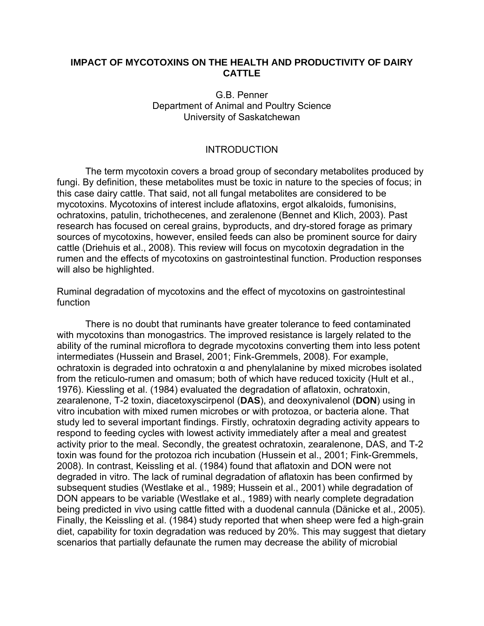## **IMPACT OF MYCOTOXINS ON THE HEALTH AND PRODUCTIVITY OF DAIRY CATTLE**

## G.B. Penner Department of Animal and Poultry Science University of Saskatchewan

# INTRODUCTION

 The term mycotoxin covers a broad group of secondary metabolites produced by fungi. By definition, these metabolites must be toxic in nature to the species of focus; in this case dairy cattle. That said, not all fungal metabolites are considered to be mycotoxins. Mycotoxins of interest include aflatoxins, ergot alkaloids, fumonisins, ochratoxins, patulin, trichothecenes, and zeralenone (Bennet and Klich, 2003). Past research has focused on cereal grains, byproducts, and dry-stored forage as primary sources of mycotoxins, however, ensiled feeds can also be prominent source for dairy cattle (Driehuis et al., 2008). This review will focus on mycotoxin degradation in the rumen and the effects of mycotoxins on gastrointestinal function. Production responses will also be highlighted.

Ruminal degradation of mycotoxins and the effect of mycotoxins on gastrointestinal function

 There is no doubt that ruminants have greater tolerance to feed contaminated with mycotoxins than monogastrics. The improved resistance is largely related to the ability of the ruminal microflora to degrade mycotoxins converting them into less potent intermediates (Hussein and Brasel, 2001; Fink-Gremmels, 2008). For example, ochratoxin is degraded into ochratoxin α and phenylalanine by mixed microbes isolated from the reticulo-rumen and omasum; both of which have reduced toxicity (Hult et al., 1976). Kiessling et al. (1984) evaluated the degradation of aflatoxin, ochratoxin, zearalenone, T-2 toxin, diacetoxyscirpenol (**DAS**), and deoxynivalenol (**DON**) using in vitro incubation with mixed rumen microbes or with protozoa, or bacteria alone. That study led to several important findings. Firstly, ochratoxin degrading activity appears to respond to feeding cycles with lowest activity immediately after a meal and greatest activity prior to the meal. Secondly, the greatest ochratoxin, zearalenone, DAS, and T-2 toxin was found for the protozoa rich incubation (Hussein et al., 2001; Fink-Gremmels, 2008). In contrast, Keissling et al. (1984) found that aflatoxin and DON were not degraded in vitro. The lack of ruminal degradation of aflatoxin has been confirmed by subsequent studies (Westlake et al., 1989; Hussein et al., 2001) while degradation of DON appears to be variable (Westlake et al., 1989) with nearly complete degradation being predicted in vivo using cattle fitted with a duodenal cannula (Dänicke et al., 2005). Finally, the Keissling et al. (1984) study reported that when sheep were fed a high-grain diet, capability for toxin degradation was reduced by 20%. This may suggest that dietary scenarios that partially defaunate the rumen may decrease the ability of microbial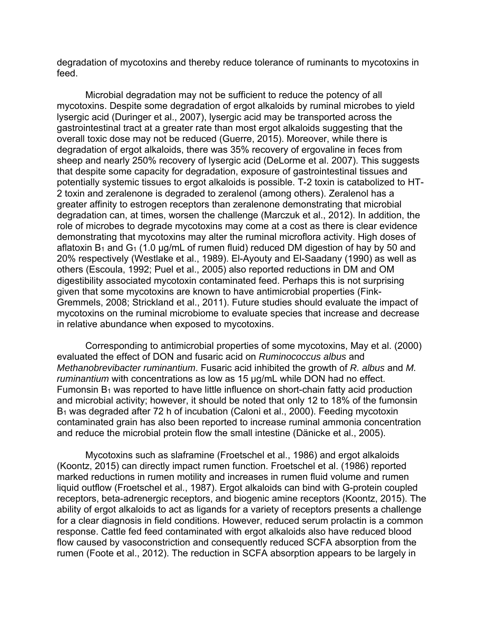degradation of mycotoxins and thereby reduce tolerance of ruminants to mycotoxins in feed.

 Microbial degradation may not be sufficient to reduce the potency of all mycotoxins. Despite some degradation of ergot alkaloids by ruminal microbes to yield lysergic acid (Duringer et al., 2007), lysergic acid may be transported across the gastrointestinal tract at a greater rate than most ergot alkaloids suggesting that the overall toxic dose may not be reduced (Guerre, 2015). Moreover, while there is degradation of ergot alkaloids, there was 35% recovery of ergovaline in feces from sheep and nearly 250% recovery of lysergic acid (DeLorme et al. 2007). This suggests that despite some capacity for degradation, exposure of gastrointestinal tissues and potentially systemic tissues to ergot alkaloids is possible. T-2 toxin is catabolized to HT-2 toxin and zeralenone is degraded to zeralenol (among others). Zeralenol has a greater affinity to estrogen receptors than zeralenone demonstrating that microbial degradation can, at times, worsen the challenge (Marczuk et al., 2012). In addition, the role of microbes to degrade mycotoxins may come at a cost as there is clear evidence demonstrating that mycotoxins may alter the ruminal microflora activity. High doses of aflatoxin  $B_1$  and  $G_1$  (1.0 µg/mL of rumen fluid) reduced DM digestion of hay by 50 and 20% respectively (Westlake et al., 1989). El-Ayouty and El-Saadany (1990) as well as others (Escoula, 1992; Puel et al., 2005) also reported reductions in DM and OM digestibility associated mycotoxin contaminated feed. Perhaps this is not surprising given that some mycotoxins are known to have antimicrobial properties (Fink-Gremmels, 2008; Strickland et al., 2011). Future studies should evaluate the impact of mycotoxins on the ruminal microbiome to evaluate species that increase and decrease in relative abundance when exposed to mycotoxins.

 Corresponding to antimicrobial properties of some mycotoxins, May et al. (2000) evaluated the effect of DON and fusaric acid on *Ruminococcus albus* and *Methanobrevibacter ruminantium*. Fusaric acid inhibited the growth of *R. albus* and *M. ruminantium* with concentrations as low as 15 μg/mL while DON had no effect. Fumonsin  $B_1$  was reported to have little influence on short-chain fatty acid production and microbial activity; however, it should be noted that only 12 to 18% of the fumonsin B1 was degraded after 72 h of incubation (Caloni et al., 2000). Feeding mycotoxin contaminated grain has also been reported to increase ruminal ammonia concentration and reduce the microbial protein flow the small intestine (Dänicke et al., 2005).

Mycotoxins such as slaframine (Froetschel et al., 1986) and ergot alkaloids (Koontz, 2015) can directly impact rumen function. Froetschel et al. (1986) reported marked reductions in rumen motility and increases in rumen fluid volume and rumen liquid outflow (Froetschel et al., 1987). Ergot alkaloids can bind with G-protein coupled receptors, beta-adrenergic receptors, and biogenic amine receptors (Koontz, 2015). The ability of ergot alkaloids to act as ligands for a variety of receptors presents a challenge for a clear diagnosis in field conditions. However, reduced serum prolactin is a common response. Cattle fed feed contaminated with ergot alkaloids also have reduced blood flow caused by vasoconstriction and consequently reduced SCFA absorption from the rumen (Foote et al., 2012). The reduction in SCFA absorption appears to be largely in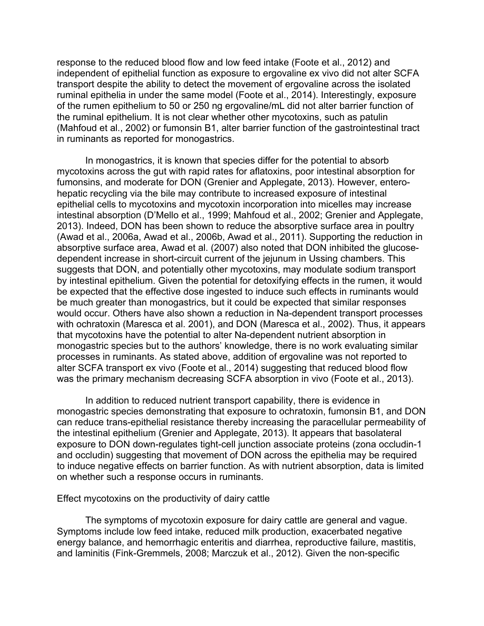response to the reduced blood flow and low feed intake (Foote et al., 2012) and independent of epithelial function as exposure to ergovaline ex vivo did not alter SCFA transport despite the ability to detect the movement of ergovaline across the isolated ruminal epithelia in under the same model (Foote et al., 2014). Interestingly, exposure of the rumen epithelium to 50 or 250 ng ergovaline/mL did not alter barrier function of the ruminal epithelium. It is not clear whether other mycotoxins, such as patulin (Mahfoud et al., 2002) or fumonsin B1, alter barrier function of the gastrointestinal tract in ruminants as reported for monogastrics.

In monogastrics, it is known that species differ for the potential to absorb mycotoxins across the gut with rapid rates for aflatoxins, poor intestinal absorption for fumonsins, and moderate for DON (Grenier and Applegate, 2013). However, enterohepatic recycling via the bile may contribute to increased exposure of intestinal epithelial cells to mycotoxins and mycotoxin incorporation into micelles may increase intestinal absorption (D'Mello et al., 1999; Mahfoud et al., 2002; Grenier and Applegate, 2013). Indeed, DON has been shown to reduce the absorptive surface area in poultry (Awad et al., 2006a, Awad et al., 2006b, Awad et al., 2011). Supporting the reduction in absorptive surface area, Awad et al. (2007) also noted that DON inhibited the glucosedependent increase in short-circuit current of the jejunum in Ussing chambers. This suggests that DON, and potentially other mycotoxins, may modulate sodium transport by intestinal epithelium. Given the potential for detoxifying effects in the rumen, it would be expected that the effective dose ingested to induce such effects in ruminants would be much greater than monogastrics, but it could be expected that similar responses would occur. Others have also shown a reduction in Na-dependent transport processes with ochratoxin (Maresca et al. 2001), and DON (Maresca et al., 2002). Thus, it appears that mycotoxins have the potential to alter Na-dependent nutrient absorption in monogastric species but to the authors' knowledge, there is no work evaluating similar processes in ruminants. As stated above, addition of ergovaline was not reported to alter SCFA transport ex vivo (Foote et al., 2014) suggesting that reduced blood flow was the primary mechanism decreasing SCFA absorption in vivo (Foote et al., 2013).

 In addition to reduced nutrient transport capability, there is evidence in monogastric species demonstrating that exposure to ochratoxin, fumonsin B1, and DON can reduce trans-epithelial resistance thereby increasing the paracellular permeability of the intestinal epithelium (Grenier and Applegate, 2013). It appears that basolateral exposure to DON down-regulates tight-cell junction associate proteins (zona occludin-1 and occludin) suggesting that movement of DON across the epithelia may be required to induce negative effects on barrier function. As with nutrient absorption, data is limited on whether such a response occurs in ruminants.

Effect mycotoxins on the productivity of dairy cattle

 The symptoms of mycotoxin exposure for dairy cattle are general and vague. Symptoms include low feed intake, reduced milk production, exacerbated negative energy balance, and hemorrhagic enteritis and diarrhea, reproductive failure, mastitis, and laminitis (Fink-Gremmels, 2008; Marczuk et al., 2012). Given the non-specific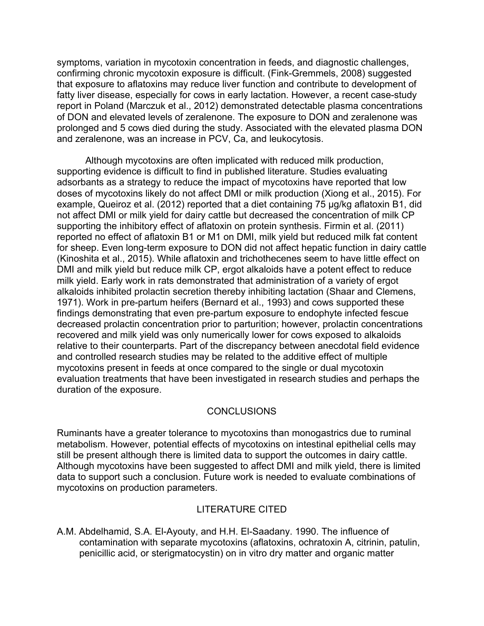symptoms, variation in mycotoxin concentration in feeds, and diagnostic challenges, confirming chronic mycotoxin exposure is difficult. (Fink-Gremmels, 2008) suggested that exposure to aflatoxins may reduce liver function and contribute to development of fatty liver disease, especially for cows in early lactation. However, a recent case-study report in Poland (Marczuk et al., 2012) demonstrated detectable plasma concentrations of DON and elevated levels of zeralenone. The exposure to DON and zeralenone was prolonged and 5 cows died during the study. Associated with the elevated plasma DON and zeralenone, was an increase in PCV, Ca, and leukocytosis.

 Although mycotoxins are often implicated with reduced milk production, supporting evidence is difficult to find in published literature. Studies evaluating adsorbants as a strategy to reduce the impact of mycotoxins have reported that low doses of mycotoxins likely do not affect DMI or milk production (Xiong et al., 2015). For example, Queiroz et al. (2012) reported that a diet containing 75 μg/kg aflatoxin B1, did not affect DMI or milk yield for dairy cattle but decreased the concentration of milk CP supporting the inhibitory effect of aflatoxin on protein synthesis. Firmin et al. (2011) reported no effect of aflatoxin B1 or M1 on DMI, milk yield but reduced milk fat content for sheep. Even long-term exposure to DON did not affect hepatic function in dairy cattle (Kinoshita et al., 2015). While aflatoxin and trichothecenes seem to have little effect on DMI and milk yield but reduce milk CP, ergot alkaloids have a potent effect to reduce milk yield. Early work in rats demonstrated that administration of a variety of ergot alkaloids inhibited prolactin secretion thereby inhibiting lactation (Shaar and Clemens, 1971). Work in pre-partum heifers (Bernard et al., 1993) and cows supported these findings demonstrating that even pre-partum exposure to endophyte infected fescue decreased prolactin concentration prior to parturition; however, prolactin concentrations recovered and milk yield was only numerically lower for cows exposed to alkaloids relative to their counterparts. Part of the discrepancy between anecdotal field evidence and controlled research studies may be related to the additive effect of multiple mycotoxins present in feeds at once compared to the single or dual mycotoxin evaluation treatments that have been investigated in research studies and perhaps the duration of the exposure.

## CONCLUSIONS

Ruminants have a greater tolerance to mycotoxins than monogastrics due to ruminal metabolism. However, potential effects of mycotoxins on intestinal epithelial cells may still be present although there is limited data to support the outcomes in dairy cattle. Although mycotoxins have been suggested to affect DMI and milk yield, there is limited data to support such a conclusion. Future work is needed to evaluate combinations of mycotoxins on production parameters.

## LITERATURE CITED

A.M. Abdelhamid, S.A. El-Ayouty, and H.H. El-Saadany. 1990. The influence of contamination with separate mycotoxins (aflatoxins, ochratoxin A, citrinin, patulin, penicillic acid, or sterigmatocystin) on in vitro dry matter and organic matter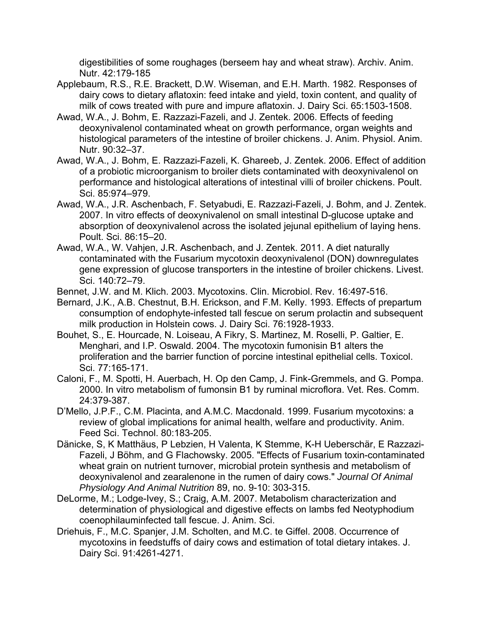digestibilities of some roughages (berseem hay and wheat straw). Archiv. Anim. Nutr. 42:179-185

- Applebaum, R.S., R.E. Brackett, D.W. Wiseman, and E.H. Marth. 1982. Responses of dairy cows to dietary aflatoxin: feed intake and yield, toxin content, and quality of milk of cows treated with pure and impure aflatoxin. J. Dairy Sci. 65:1503-1508.
- Awad, W.A., J. Bohm, E. Razzazi-Fazeli, and J. Zentek. 2006. Effects of feeding deoxynivalenol contaminated wheat on growth performance, organ weights and histological parameters of the intestine of broiler chickens. J. Anim. Physiol. Anim. Nutr. 90:32–37.
- Awad, W.A., J. Bohm, E. Razzazi-Fazeli, K. Ghareeb, J. Zentek. 2006. Effect of addition of a probiotic microorganism to broiler diets contaminated with deoxynivalenol on performance and histological alterations of intestinal villi of broiler chickens. Poult. Sci. 85:974–979.
- Awad, W.A., J.R. Aschenbach, F. Setyabudi, E. Razzazi-Fazeli, J. Bohm, and J. Zentek. 2007. In vitro effects of deoxynivalenol on small intestinal D-glucose uptake and absorption of deoxynivalenol across the isolated jejunal epithelium of laying hens. Poult. Sci. 86:15–20.
- Awad, W.A., W. Vahjen, J.R. Aschenbach, and J. Zentek. 2011. A diet naturally contaminated with the Fusarium mycotoxin deoxynivalenol (DON) downregulates gene expression of glucose transporters in the intestine of broiler chickens. Livest. Sci. 140:72–79.
- Bennet, J.W. and M. Klich. 2003. Mycotoxins. Clin. Microbiol. Rev. 16:497-516.
- Bernard, J.K., A.B. Chestnut, B.H. Erickson, and F.M. Kelly. 1993. Effects of prepartum consumption of endophyte-infested tall fescue on serum prolactin and subsequent milk production in Holstein cows. J. Dairy Sci. 76:1928-1933.
- Bouhet, S., E. Hourcade, N. Loiseau, A Fikry, S. Martinez, M. Roselli, P. Galtier, E. Menghari, and I.P. Oswald. 2004. The mycotoxin fumonisin B1 alters the proliferation and the barrier function of porcine intestinal epithelial cells. Toxicol. Sci. 77:165-171.
- Caloni, F., M. Spotti, H. Auerbach, H. Op den Camp, J. Fink-Gremmels, and G. Pompa. 2000. In vitro metabolism of fumonsin B1 by ruminal microflora. Vet. Res. Comm. 24:379-387.
- D'Mello, J.P.F., C.M. Placinta, and A.M.C. Macdonald. 1999. Fusarium mycotoxins: a review of global implications for animal health, welfare and productivity. Anim. Feed Sci. Technol. 80:183-205.
- Dänicke, S, K Matthäus, P Lebzien, H Valenta, K Stemme, K-H Ueberschär, E Razzazi-Fazeli, J Böhm, and G Flachowsky. 2005. "Effects of Fusarium toxin-contaminated wheat grain on nutrient turnover, microbial protein synthesis and metabolism of deoxynivalenol and zearalenone in the rumen of dairy cows." *Journal Of Animal Physiology And Animal Nutrition* 89, no. 9-10: 303-315.
- DeLorme, M.; Lodge-Ivey, S.; Craig, A.M. 2007. Metabolism characterization and determination of physiological and digestive effects on lambs fed Neotyphodium coenophilauminfected tall fescue. J. Anim. Sci.
- Driehuis, F., M.C. Spanjer, J.M. Scholten, and M.C. te Giffel. 2008. Occurrence of mycotoxins in feedstuffs of dairy cows and estimation of total dietary intakes. J. Dairy Sci. 91:4261-4271.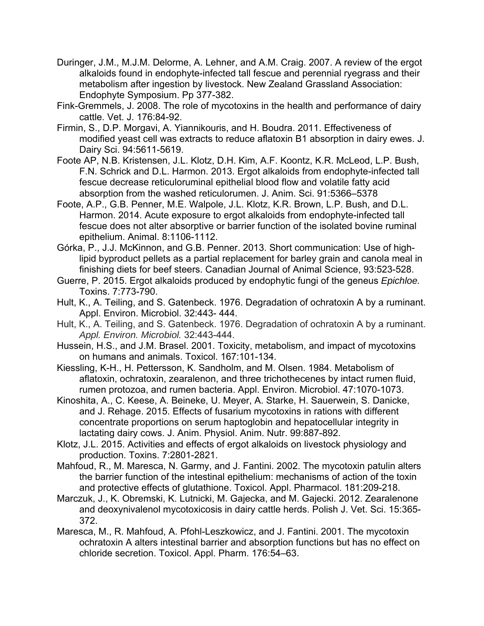- Duringer, J.M., M.J.M. Delorme, A. Lehner, and A.M. Craig. 2007. A review of the ergot alkaloids found in endophyte-infected tall fescue and perennial ryegrass and their metabolism after ingestion by livestock. New Zealand Grassland Association: Endophyte Symposium. Pp 377-382.
- Fink-Gremmels, J. 2008. The role of mycotoxins in the health and performance of dairy cattle. Vet. J. 176:84-92.
- Firmin, S., D.P. Morgavi, A. Yiannikouris, and H. Boudra. 2011. Effectiveness of modified yeast cell was extracts to reduce aflatoxin B1 absorption in dairy ewes. J. Dairy Sci. 94:5611-5619.
- Foote AP, N.B. Kristensen, J.L. Klotz, D.H. Kim, A.F. Koontz, K.R. McLeod, L.P. Bush, F.N. Schrick and D.L. Harmon. 2013. Ergot alkaloids from endophyte-infected tall fescue decrease reticuloruminal epithelial blood flow and volatile fatty acid absorption from the washed reticulorumen. J. Anim. Sci. 91:5366–5378
- Foote, A.P., G.B. Penner, M.E. Walpole, J.L. Klotz, K.R. Brown, L.P. Bush, and D.L. Harmon. 2014. Acute exposure to ergot alkaloids from endophyte-infected tall fescue does not alter absorptive or barrier function of the isolated bovine ruminal epithelium. Animal. 8:1106-1112.
- Górka, P., J.J. McKinnon, and G.B. Penner. 2013. Short communication: Use of highlipid byproduct pellets as a partial replacement for barley grain and canola meal in finishing diets for beef steers. Canadian Journal of Animal Science, 93:523-528.
- Guerre, P. 2015. Ergot alkaloids produced by endophytic fungi of the geneus *Epichloe.* Toxins. 7:773-790.
- Hult, K., A. Teiling, and S. Gatenbeck. 1976. Degradation of ochratoxin A by a ruminant. Appl. Environ. Microbiol. 32:443- 444.
- Hult, K., A. Teiling, and S. Gatenbeck. 1976. Degradation of ochratoxin A by a ruminant. *Appl. Environ. Microbiol.* 32:443-444.
- Hussein, H.S., and J.M. Brasel. 2001. Toxicity, metabolism, and impact of mycotoxins on humans and animals. Toxicol. 167:101-134.
- Kiessling, K-H., H. Pettersson, K. Sandholm, and M. Olsen. 1984. Metabolism of aflatoxin, ochratoxin, zearalenon, and three trichothecenes by intact rumen fluid, rumen protozoa, and rumen bacteria. Appl. Environ. Microbiol. 47:1070-1073.
- Kinoshita, A., C. Keese, A. Beineke, U. Meyer, A. Starke, H. Sauerwein, S. Danicke, and J. Rehage. 2015. Effects of fusarium mycotoxins in rations with different concentrate proportions on serum haptoglobin and hepatocellular integrity in lactating dairy cows. J. Anim. Physiol. Anim. Nutr. 99:887-892.
- Klotz, J.L. 2015. Activities and effects of ergot alkaloids on livestock physiology and production. Toxins. 7:2801-2821.
- Mahfoud, R., M. Maresca, N. Garmy, and J. Fantini. 2002. The mycotoxin patulin alters the barrier function of the intestinal epithelium: mechanisms of action of the toxin and protective effects of glutathione. Toxicol. Appl. Pharmacol. 181:209-218.
- Marczuk, J., K. Obremski, K. Lutnicki, M. Gajecka, and M. Gajecki. 2012. Zearalenone and deoxynivalenol mycotoxicosis in dairy cattle herds. Polish J. Vet. Sci. 15:365- 372.
- Maresca, M., R. Mahfoud, A. Pfohl-Leszkowicz, and J. Fantini. 2001. The mycotoxin ochratoxin A alters intestinal barrier and absorption functions but has no effect on chloride secretion. Toxicol. Appl. Pharm. 176:54–63.